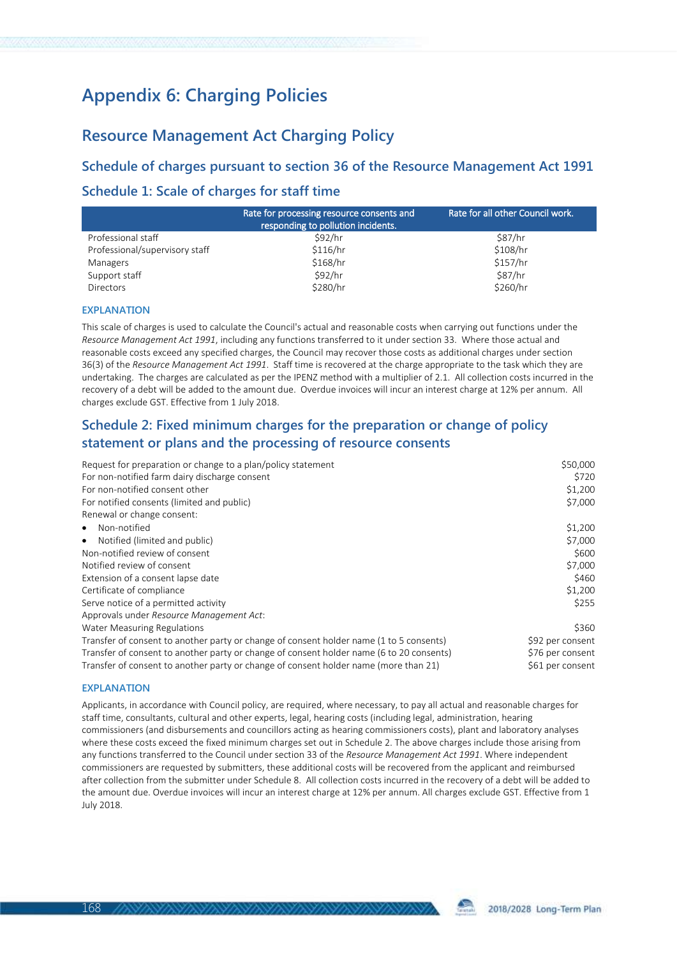# **Appendix 6: Charging Policies**

## **Resource Management Act Charging Policy**

**Schedule of charges pursuant to section 36 of the Resource Management Act 1991 Schedule 1: Scale of charges for staff time**

|                                | Rate for processing resource consents and<br>responding to pollution incidents. | Rate for all other Council work. |
|--------------------------------|---------------------------------------------------------------------------------|----------------------------------|
| Professional staff             | \$92/hr                                                                         | \$87/hr                          |
| Professional/supervisory staff | \$116/hr                                                                        | \$108/hr                         |
| Managers                       | \$168/hr                                                                        | \$157/hr                         |
| Support staff                  | \$92/hr                                                                         | \$87/hr                          |
| <b>Directors</b>               | \$280/hr                                                                        | \$260/hr                         |

## **EXPLANATION**

This scale of charges is used to calculate the Council's actual and reasonable costs when carrying out functions under the *Resource Management Act 1991*, including any functions transferred to it under section 33. Where those actual and reasonable costs exceed any specified charges, the Council may recover those costs as additional charges under section 36(3) of the *Resource Management Act 1991*. Staff time is recovered at the charge appropriate to the task which they are undertaking. The charges are calculated as per the IPENZ method with a multiplier of 2.1. All collection costs incurred in the recovery of a debt will be added to the amount due. Overdue invoices will incur an interest charge at 12% per annum. All charges exclude GST. Effective from 1 July 2018.

## **Schedule 2: Fixed minimum charges for the preparation or change of policy statement or plans and the processing of resource consents**

| Request for preparation or change to a plan/policy statement                             | \$50,000         |
|------------------------------------------------------------------------------------------|------------------|
| For non-notified farm dairy discharge consent                                            | \$720            |
| For non-notified consent other                                                           | \$1,200          |
| For notified consents (limited and public)                                               | \$7,000          |
| Renewal or change consent:                                                               |                  |
| Non-notified<br>$\bullet$                                                                | \$1,200          |
| Notified (limited and public)<br>$\bullet$                                               | \$7,000          |
| Non-notified review of consent                                                           | \$600            |
| Notified review of consent                                                               | \$7,000          |
| Extension of a consent lapse date                                                        | \$460            |
| Certificate of compliance                                                                | \$1,200          |
| Serve notice of a permitted activity                                                     | \$255            |
| Approvals under Resource Management Act:                                                 |                  |
| Water Measuring Regulations                                                              | \$360            |
| Transfer of consent to another party or change of consent holder name (1 to 5 consents)  | \$92 per consent |
| Transfer of consent to another party or change of consent holder name (6 to 20 consents) | \$76 per consent |
| Transfer of consent to another party or change of consent holder name (more than 21)     | \$61 per consent |

### **EXPLANATION**

Applicants, in accordance with Council policy, are required, where necessary, to pay all actual and reasonable charges for staff time, consultants, cultural and other experts, legal, hearing costs (including legal, administration, hearing commissioners (and disbursements and councillors acting as hearing commissioners costs), plant and laboratory analyses where these costs exceed the fixed minimum charges set out in Schedule 2. The above charges include those arising from any functions transferred to the Council under section 33 of the *Resource Management Act 1991*. Where independent commissioners are requested by submitters, these additional costs will be recovered from the applicant and reimbursed after collection from the submitter under Schedule 8. All collection costs incurred in the recovery of a debt will be added to the amount due. Overdue invoices will incur an interest charge at 12% per annum. All charges exclude GST. Effective from 1 July 2018.

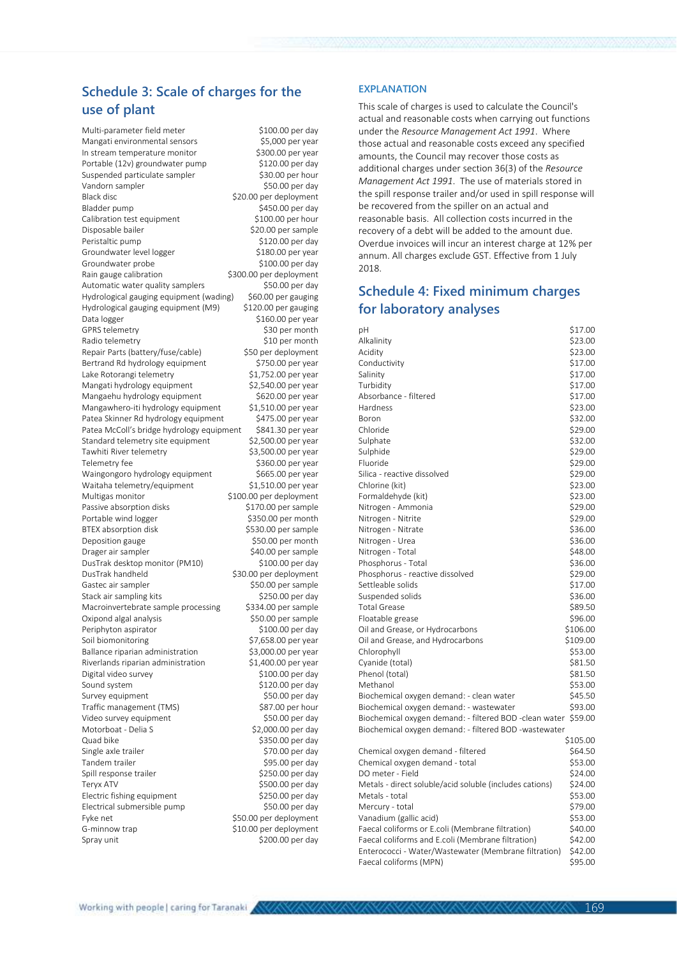## **Schedule 3: Scale of charges for the use of plant**

Multi-parameter field meter \$100.00 per day Mangati environmental sensors \$5,000 per year In stream temperature monitor \$300.00 per year Portable (12v) groundwater pump \$120.00 per day Suspended particulate sampler \$30.00 per hour Vandorn sampler \$50.00 per day Black disc  $$20.00$  per deployment Bladder pump \$450.00 per day Calibration test equipment \$100.00 per hour Disposable bailer \$20.00 per sample Peristaltic pump \$120.00 per day Groundwater level logger \$180.00 per year Groundwater probe \$100.00 per day Rain gauge calibration \$300.00 per deployment Automatic water quality samplers \$50.00 per day Hydrological gauging equipment (wading) \$60.00 per gauging Hydrological gauging equipment (M9) \$120.00 per gauging Data logger  $$160.00$  per year GPRS telemetry \$30 per month<br>Radio telemetry \$10 per month Radio telemetry Repair Parts (battery/fuse/cable) \$50 per deployment<br>Bertrand Rd hydrology equipment \$750.00 per year Bertrand Rd hydrology equipment Lake Rotorangi telemetry  $$1,752.00$  per year<br>Mangati hydrology equipment  $$2.540.00$  per year Mangati hydrology equipment \$2,540.00 per year<br>Mangaehu hydrology equipment \$620.00 per year Mangaehu hydrology equipment \$620.00 per year<br>Mangawhero-iti hydrology equipment \$1.510.00 per year Mangawhero-iti hydrology equipment \$1,510.00 per year<br>Patea Skinner Rd hydrology equipment \$475.00 per year Patea Skinner Rd hydrology equipment \$475.00 per year<br>Patea McColl's bridge hydrology equipment \$841.30 per year Patea McColl's bridge hydrology equipment Standard telemetry site equipment \$2,500.00 per year<br>Tawhiti River telemetry \$3,500.00 per year Tawhiti River telemetry Telemetry fee  $$360.00$  per year Waingongoro hydrology equipment \$665.00 per year Waitaha telemetry/equipment \$1,510.00 per year Multigas monitor  $$100.00$  per deployment Passive absorption disks  $$170.00$  per sample Portable wind logger \$350.00 per month BTEX absorption disk \$530.00 per sample Deposition gauge between the state of \$50.00 per month Drager air sampler \$40.00 per sample DusTrak desktop monitor (PM10) \$100.00 per day DusTrak handheld \$30.00 per deployment Gastec air sampler \$50.00 per sample Stack air sampling kits \$250.00 per day Macroinvertebrate sample processing \$334.00 per sample Oxipond algal analysis<br>
Periphyton aspirator<br>
\$100.00 per day Periphyton aspirator Soil biomonitoring  $$7,658.00$  per year Ballance riparian administration \$3,000.00 per year Riverlands riparian administration \$1,400.00 per year Digital video survey by the state of the S100.00 per day Sound system \$120.00 per day Survey equipment \$50.00 per day Traffic management (TMS) \$87.00 per hour<br>Video survey equipment \$50.00 per day Video survey equipment Motorboat - Delia S<br>
S2,000.00 per day Quad bike \$350.00 per day Single axle trailer \$70.00 per day  $$95.00$  per day Spill response trailer \$250.00 per day Teryx ATV **\$500.00** per day Electric fishing equipment \$250.00 per day<br>Electrical submersible pump \$50.00 per day Electrical submersible pump<br>Fyke net Fyke net the state of the SSO.00 per deployment<br>G-minnow trap state of the SSO.00 per deployment \$10.00 per deployment Spray unit \$200.00 per day

#### **EXPLANATION**

This scale of charges is used to calculate the Council's actual and reasonable costs when carrying out functions under the *Resource Management Act 1991*. Where those actual and reasonable costs exceed any specified amounts, the Council may recover those costs as additional charges under section 36(3) of the *Resource Management Act 1991*. The use of materials stored in the spill response trailer and/or used in spill response will be recovered from the spiller on an actual and reasonable basis. All collection costs incurred in the recovery of a debt will be added to the amount due. Overdue invoices will incur an interest charge at 12% per annum. All charges exclude GST. Effective from 1 July 2018.

## **Schedule 4: Fixed minimum charges for laboratory analyses**

| pH                                                                                  | \$17.00            |
|-------------------------------------------------------------------------------------|--------------------|
| Alkalinity                                                                          | \$23.00            |
| Acidity                                                                             | \$23.00            |
| Conductivity                                                                        | \$17.00            |
| Salinity                                                                            | \$17.00            |
| Turbidity                                                                           | \$17.00            |
| Absorbance - filtered                                                               | \$17.00            |
| Hardness                                                                            | \$23.00            |
| Boron                                                                               | \$32.00            |
| Chloride                                                                            | \$29.00            |
| Sulphate                                                                            | \$32.00            |
| Sulphide                                                                            | \$29.00            |
| Fluoride                                                                            | \$29.00            |
| Silica - reactive dissolved                                                         | \$29.00            |
| Chlorine (kit)                                                                      | \$23.00            |
| Formaldehyde (kit)                                                                  | \$23.00            |
| Nitrogen - Ammonia                                                                  | \$29.00            |
| Nitrogen - Nitrite                                                                  | \$29.00            |
| Nitrogen - Nitrate                                                                  | \$36.00            |
| Nitrogen - Urea                                                                     | \$36.00            |
| Nitrogen - Total                                                                    | \$48.00            |
| Phosphorus - Total                                                                  | \$36.00            |
| Phosphorus - reactive dissolved                                                     | \$29.00            |
| Settleable solids                                                                   | \$17.00            |
| Suspended solids                                                                    | \$36.00            |
| <b>Total Grease</b>                                                                 | \$89.50            |
| Floatable grease                                                                    | \$96.00            |
| Oil and Grease, or Hydrocarbons                                                     | \$106.00           |
| Oil and Grease, and Hydrocarbons                                                    | \$109.00           |
| Chlorophyll                                                                         | \$53.00            |
| Cyanide (total)                                                                     | \$81.50<br>\$81.50 |
| Phenol (total)<br>Methanol                                                          | \$53.00            |
|                                                                                     | \$45.50            |
| Biochemical oxygen demand: - clean water<br>Biochemical oxygen demand: - wastewater | \$93.00            |
| Biochemical oxygen demand: - filtered BOD -clean water                              | \$59.00            |
| Biochemical oxygen demand: - filtered BOD -wastewater                               |                    |
|                                                                                     | \$105.00           |
| Chemical oxygen demand - filtered                                                   | \$64.50            |
| Chemical oxygen demand - total                                                      | \$53.00            |
| DO meter - Field                                                                    | \$24.00            |
| Metals - direct soluble/acid soluble (includes cations)                             | \$24.00            |
| Metals - total                                                                      | \$53.00            |
| Mercury - total                                                                     | \$79.00            |
| Vanadium (gallic acid)                                                              | \$53.00            |
| Faecal coliforms or E.coli (Membrane filtration)                                    | \$40.00            |
| Faecal coliforms and E.coli (Membrane filtration)                                   | \$42.00            |
| Enterococci - Water/Wastewater (Membrane filtration)                                | \$42.00            |
| Faecal coliforms (MPN)                                                              | \$95.00            |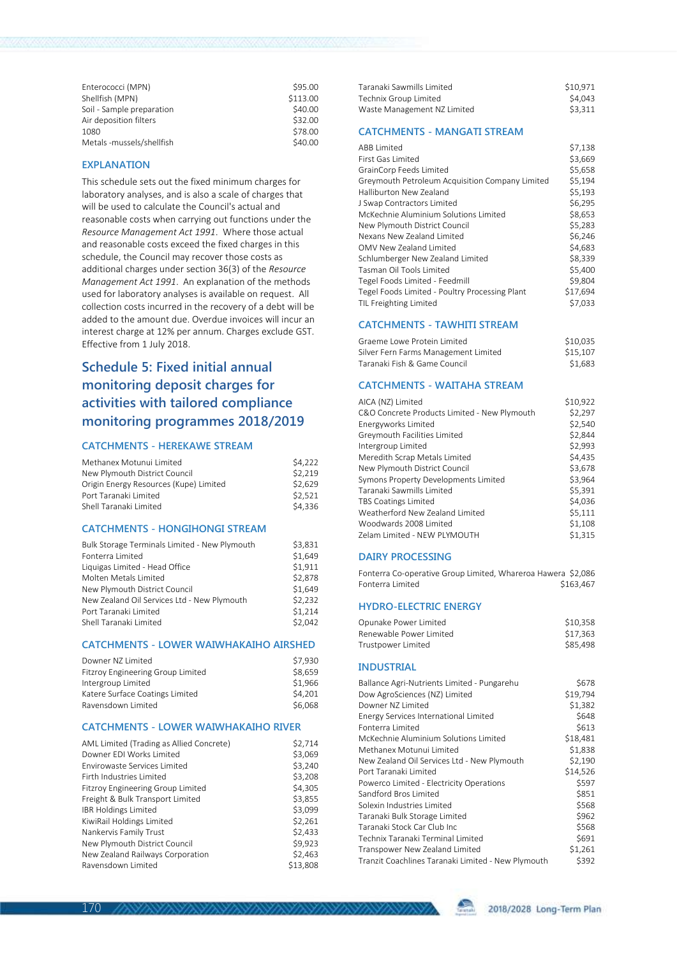| Enterococci (MPN)         | \$95.00  |
|---------------------------|----------|
| Shellfish (MPN)           | \$113.00 |
| Soil - Sample preparation | \$40.00  |
| Air deposition filters    | \$32.00  |
| 1080                      | \$78.00  |
| Metals -mussels/shellfish | \$40.00  |
|                           |          |

#### **EXPLANATION**

This schedule sets out the fixed minimum charges for laboratory analyses, and is also a scale of charges that will be used to calculate the Council's actual and reasonable costs when carrying out functions under the *Resource Management Act 1991*. Where those actual and reasonable costs exceed the fixed charges in this schedule, the Council may recover those costs as additional charges under section 36(3) of the *Resource Management Act 1991*. An explanation of the methods used for laboratory analyses is available on request. All collection costs incurred in the recovery of a debt will be added to the amount due. Overdue invoices will incur an interest charge at 12% per annum. Charges exclude GST. Effective from 1 July 2018.

## **Schedule 5: Fixed initial annual monitoring deposit charges for activities with tailored compliance monitoring programmes 2018/2019**

### **CATCHMENTS - HEREKAWE STREAM**

| Methanex Motunui Limited               | \$4,222 |
|----------------------------------------|---------|
| New Plymouth District Council          | \$2.219 |
| Origin Energy Resources (Kupe) Limited | \$2.629 |
| Port Taranaki Limited                  | \$2.521 |
| Shell Taranaki Limited                 | \$4.336 |
|                                        |         |

## **CATCHMENTS - HONGIHONGI STREAM**

| Bulk Storage Terminals Limited - New Plymouth | \$3.831 |
|-----------------------------------------------|---------|
| Fonterra Limited                              | \$1.649 |
| Liquigas Limited - Head Office                | \$1,911 |
| Molten Metals Limited                         | \$2,878 |
| New Plymouth District Council                 | \$1.649 |
| New Zealand Oil Services Ltd - New Plymouth   | \$2.232 |
| Port Taranaki Limited                         | \$1,214 |
| Shell Taranaki Limited                        | \$2.042 |
|                                               |         |

#### **CATCHMENTS - LOWER WAIWHAKAIHO AIRSHED**

| Downer N7 Limited                 | \$7.930 |
|-----------------------------------|---------|
| Fitzroy Engineering Group Limited | \$8.659 |
| Intergroup Limited                | \$1.966 |
| Katere Surface Coatings Limited   | \$4.201 |
| Ravensdown Limited                | \$6,068 |

### **CATCHMENTS - LOWER WAIWHAKAIHO RIVER**

| AML Limited (Trading as Allied Concrete) | \$2,714  |
|------------------------------------------|----------|
| Downer EDI Works Limited                 | \$3,069  |
| <b>Fnvirowaste Services Limited</b>      | \$3,240  |
| Firth Industries Limited                 | \$3,208  |
| Fitzroy Engineering Group Limited        | \$4,305  |
| Freight & Bulk Transport Limited         | \$3,855  |
| <b>IBR Holdings Limited</b>              | \$3,099  |
| KiwiRail Holdings Limited                | \$2,261  |
| Nankervis Family Trust                   | \$2,433  |
| New Plymouth District Council            | \$9.923  |
| New Zealand Railways Corporation         | \$2,463  |
| Ravensdown Limited                       | \$13,808 |

| Taranaki Sawmills Limited   | \$10.971 |
|-----------------------------|----------|
| Technix Group Limited       | \$4.043  |
| Waste Management NZ Limited | \$3.311  |

#### **CATCHMENTS - MANGATI STREAM**

| <b>ABB Limited</b>                              | \$7,138  |
|-------------------------------------------------|----------|
| First Gas Limited                               | \$3,669  |
| GrainCorp Feeds Limited                         | \$5,658  |
| Greymouth Petroleum Acquisition Company Limited | \$5.194  |
| Halliburton New Zealand                         | \$5,193  |
| J Swap Contractors Limited                      | \$6,295  |
| McKechnie Aluminium Solutions Limited           | \$8,653  |
| New Plymouth District Council                   | \$5,283  |
| Nexans New Zealand Limited                      | \$6,246  |
| OMV New Zealand Limited                         | \$4,683  |
| Schlumberger New Zealand Limited                | \$8,339  |
| Tasman Oil Tools Limited                        | \$5,400  |
| Tegel Foods Limited - Feedmill                  | \$9.804  |
| Tegel Foods Limited - Poultry Processing Plant  | \$17,694 |
| TIL Freighting Limited                          | \$7,033  |
|                                                 |          |

#### **CATCHMENTS - TAWHITI STREAM**

| Graeme Lowe Protein Limited          | \$10.035 |
|--------------------------------------|----------|
| Silver Fern Farms Management Limited | \$15.107 |
| Taranaki Fish & Game Council         | \$1.683  |

#### **CATCHMENTS - WAITAHA STREAM**

| AICA (NZ) Limited                            | \$10,922 |
|----------------------------------------------|----------|
| C&O Concrete Products Limited - New Plymouth | \$2,297  |
| Energyworks Limited                          | \$2,540  |
| Greymouth Facilities Limited                 | \$2,844  |
| Intergroup Limited                           | \$2,993  |
| Meredith Scrap Metals Limited                | \$4.435  |
| New Plymouth District Council                | \$3,678  |
| Symons Property Developments Limited         | \$3.964  |
| Taranaki Sawmills Limited                    | \$5.391  |
| <b>TBS Coatings Limited</b>                  | \$4.036  |
| Weatherford New Zealand Limited              | \$5,111  |
| Woodwards 2008 Limited                       | \$1,108  |
| Zelam Limited - NEW PLYMOUTH                 | \$1.315  |

#### **DAIRY PROCESSING**

| Fonterra Co-operative Group Limited, Whareroa Hawera \$2,086 |           |  |
|--------------------------------------------------------------|-----------|--|
| Fonterra Limited                                             | \$163,467 |  |

### **HYDRO-ELECTRIC ENERGY**

| Opunake Power Limited   | \$10.358 |
|-------------------------|----------|
| Renewable Power Limited | \$17.363 |
| Trustpower Limited      | \$85.498 |

### **INDUSTRIAL**

| Ballance Agri-Nutrients Limited - Pungarehu        | \$678    |
|----------------------------------------------------|----------|
| Dow AgroSciences (NZ) Limited                      | \$19,794 |
| Downer N7 Limited                                  | \$1,382  |
| Energy Services International Limited              | \$648    |
| Fonterra Limited                                   | \$613    |
| McKechnie Aluminium Solutions Limited              | \$18,481 |
| Methanex Motunui Limited                           | \$1,838  |
| New Zealand Oil Services Ltd - New Plymouth        | \$2.190  |
| Port Taranaki Limited                              | \$14,526 |
| Powerco Limited - Electricity Operations           | \$597    |
| Sandford Bros Limited                              | \$851    |
| Solexin Industries Limited                         | \$568    |
| Taranaki Bulk Storage Limited                      | \$962    |
| Taranaki Stock Car Club Inc                        | \$568    |
| Technix Taranaki Terminal Limited                  | \$691    |
| Transpower New Zealand Limited                     | \$1,261  |
| Tranzit Coachlines Taranaki Limited - New Plymouth | \$392    |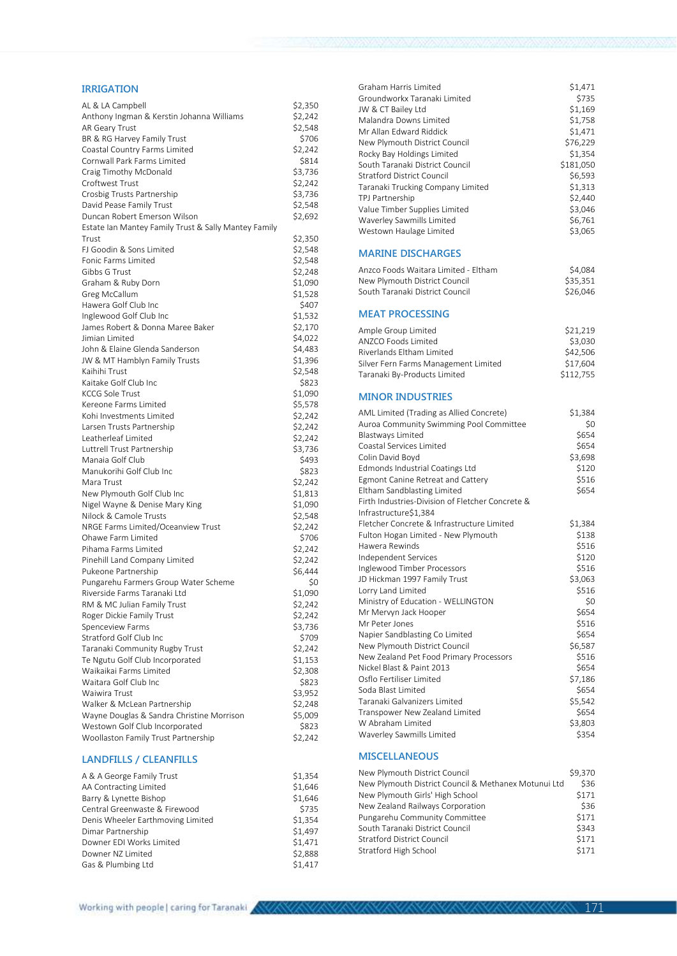### **IRRIGATION**

| AL & LA Campbell                                     | \$2,350            |
|------------------------------------------------------|--------------------|
| Anthony Ingman & Kerstin Johanna Williams            | \$2,242            |
| AR Geary Trust                                       | \$2,548            |
| BR & RG Harvey Family Trust                          | \$706              |
| Coastal Country Farms Limited                        | \$2,242            |
| Cornwall Park Farms Limited                          | \$814              |
| Craig Timothy McDonald                               | \$3,736            |
| Croftwest Trust                                      | \$2,242            |
| Crosbig Trusts Partnership                           | \$3,736            |
| David Pease Family Trust                             | \$2,548            |
| Duncan Robert Emerson Wilson                         | \$2,692            |
| Estate Ian Mantey Family Trust & Sally Mantey Family |                    |
| Trust                                                | \$2,350            |
| FJ Goodin & Sons Limited                             | \$2,548            |
| Fonic Farms Limited                                  | \$2,548            |
| Gibbs G Trust                                        | \$2,248            |
| Graham & Ruby Dorn                                   | \$1,090            |
| Greg McCallum                                        | \$1,528            |
| Hawera Golf Club Inc                                 | \$407              |
| Inglewood Golf Club Inc                              | \$1,532            |
| James Robert & Donna Maree Baker                     | \$2,170            |
| Jimian Limited                                       | \$4,022            |
| John & Elaine Glenda Sanderson                       | \$4,483            |
| JW & MT Hamblyn Family Trusts                        |                    |
| Kaihihi Trust                                        | \$1,396<br>\$2,548 |
| Kaitake Golf Club Inc                                |                    |
| <b>KCCG Sole Trust</b>                               | \$823              |
| Kereone Farms Limited                                | \$1,090<br>\$5,578 |
|                                                      |                    |
| Kohi Investments Limited                             | \$2,242            |
| Larsen Trusts Partnership                            | \$2,242            |
| Leatherleaf Limited                                  | \$2,242            |
| Luttrell Trust Partnership                           | \$3,736            |
| Manaia Golf Club                                     | \$493              |
| Manukorihi Golf Club Inc                             | \$823              |
| Mara Trust                                           | \$2,242            |
| New Plymouth Golf Club Inc                           | \$1,813            |
| Nigel Wayne & Denise Mary King                       | \$1,090            |
| Nilock & Camole Trusts                               | \$2,548            |
| NRGE Farms Limited/Oceanview Trust                   | \$2,242            |
| Ohawe Farm Limited                                   | \$706              |
| Pihama Farms Limited                                 | \$2,242            |
| Pinehill Land Company Limited                        | \$2,242            |
| Pukeone Partnership                                  | \$6,444            |
| Pungarehu Farmers Group Water Scheme                 | \$0                |
| Riverside Farms Taranaki Ltd                         | \$1,090            |
| RM & MC Julian Family Trust                          | \$2,242            |
| Roger Dickie Family Trust                            | \$2,242            |
| Spenceview Farms                                     | \$3,736            |
| Stratford Golf Club Inc                              | \$709              |
| Taranaki Community Rugby Trust                       | \$2,242            |
| Te Ngutu Golf Club Incorporated                      | \$1,153            |
| Waikaikai Farms Limited                              | \$2,308            |
| Waitara Golf Club Inc                                | \$823              |
| Waiwira Trust                                        | \$3,952            |
| Walker & McLean Partnership                          | \$2,248            |
| Wayne Douglas & Sandra Christine Morrison            | \$5,009            |
| Westown Golf Club Incorporated                       | \$823              |
| Woollaston Family Trust Partnership                  | \$2,242            |
|                                                      |                    |

## **LANDFILLS / CLEANFILLS**

| A & A George Family Trust         | \$1.354 |
|-----------------------------------|---------|
| AA Contracting Limited            | \$1.646 |
| Barry & Lynette Bishop            | \$1.646 |
| Central Greenwaste & Firewood     | \$735   |
| Denis Wheeler Earthmoving Limited | \$1,354 |
| Dimar Partnership                 | \$1.497 |
| Downer EDI Works Limited          | \$1.471 |
| Downer NZ Limited                 | \$2.888 |
| Gas & Plumbing Ltd                | \$1.417 |
|                                   |         |

| Graham Harris Limited                                                                  | \$1,471            |
|----------------------------------------------------------------------------------------|--------------------|
| Groundworkx Taranaki Limited                                                           | \$735              |
| JW & CT Bailey Ltd                                                                     | \$1,169            |
| Malandra Downs Limited<br>Mr Allan Edward Riddick                                      | \$1,758<br>\$1,471 |
| New Plymouth District Council                                                          | \$76,229           |
| Rocky Bay Holdings Limited                                                             | \$1,354            |
| South Taranaki District Council                                                        | \$181,050          |
| <b>Stratford District Council</b>                                                      | \$6,593            |
| Taranaki Trucking Company Limited                                                      | \$1,313            |
| TPJ Partnership                                                                        | \$2,440            |
| Value Timber Supplies Limited<br>Waverley Sawmills Limited                             | \$3,046<br>\$6,761 |
| Westown Haulage Limited                                                                | \$3,065            |
|                                                                                        |                    |
| <b>MARINE DISCHARGES</b>                                                               |                    |
| Anzco Foods Waitara Limited - Eltham                                                   | \$4,084            |
| New Plymouth District Council                                                          | \$35,351           |
| South Taranaki District Council                                                        | \$26,046           |
| <b>MEAT PROCESSING</b>                                                                 |                    |
| Ample Group Limited                                                                    | \$21,219           |
| <b>ANZCO Foods Limited</b>                                                             | \$3,030            |
| Riverlands Eltham Limited                                                              | \$42,506           |
| Silver Fern Farms Management Limited                                                   | \$17,604           |
| Taranaki By-Products Limited                                                           | \$112,755          |
| <b>MINOR INDUSTRIES</b>                                                                |                    |
| AML Limited (Trading as Allied Concrete)                                               | \$1,384            |
| Auroa Community Swimming Pool Committee                                                | \$0                |
| <b>Blastways Limited</b>                                                               | \$654              |
| Coastal Services Limited<br>Colin David Boyd                                           | \$654<br>\$3,698   |
| Edmonds Industrial Coatings Ltd                                                        | \$120              |
| Egmont Canine Retreat and Cattery                                                      | \$516              |
| Eltham Sandblasting Limited                                                            | \$654              |
| Firth Industries-Division of Fletcher Concrete &                                       |                    |
| Infrastructure\$1,384                                                                  |                    |
| Fletcher Concrete & Infrastructure Limited                                             | \$1,384            |
| Fulton Hogan Limited - New Plymouth<br>Hawera Rewinds                                  | \$138<br>\$516     |
| Independent Services                                                                   | \$120              |
| Inglewood Timber Processors                                                            | \$516              |
| JD Hickman 1997 Family Trust                                                           | \$3,063            |
| Lorry Land Limited                                                                     | \$516              |
| Ministry of Education - WELLINGTON                                                     | \$0                |
| Mr Mervyn Jack Hooper                                                                  | \$654              |
| Mr Peter Jones                                                                         | \$516<br>\$654     |
| Napier Sandblasting Co Limited<br>New Plymouth District Council                        | \$6,587            |
| New Zealand Pet Food Primary Processors                                                | \$516              |
| Nickel Blast & Paint 2013                                                              | \$654              |
| Osflo Fertiliser Limited                                                               | \$7,186            |
| Soda Blast Limited                                                                     | \$654              |
| Taranaki Galvanizers Limited                                                           | \$5,542            |
| Transpower New Zealand Limited                                                         | \$654              |
| W Abraham Limited<br>Waverley Sawmills Limited                                         | \$3,803<br>\$354   |
|                                                                                        |                    |
| <b>MISCELLANEOUS</b>                                                                   |                    |
| New Plymouth District Council<br>New Plymouth District Council & Methaney Motunui Ltd. | \$9,370<br>526     |
|                                                                                        |                    |

| New Plymouth District Council & Methanex Motunui Ltd | \$36  |
|------------------------------------------------------|-------|
| New Plymouth Girls' High School                      | \$171 |
| New Zealand Railways Corporation                     | \$36  |
| Pungarehu Community Committee                        | \$171 |
| South Taranaki District Council                      | \$343 |
| <b>Stratford District Council</b>                    | \$171 |
| Stratford High School                                | \$171 |

171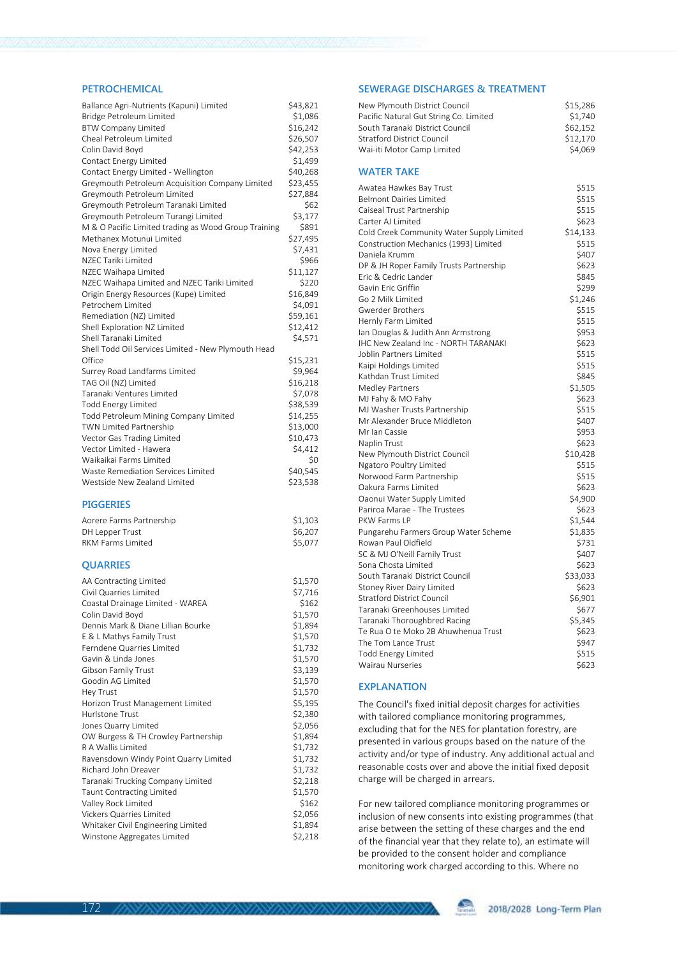### **PETROCHEMICAL**

| Ballance Agri-Nutrients (Kapuni) Limited             | \$43,821 |
|------------------------------------------------------|----------|
| Bridge Petroleum Limited                             | \$1,086  |
| <b>BTW Company Limited</b>                           | \$16,242 |
| Cheal Petroleum Limited                              | \$26,507 |
| Colin David Boyd                                     | \$42,253 |
| Contact Energy Limited                               | \$1,499  |
| Contact Energy Limited - Wellington                  | \$40,268 |
| Greymouth Petroleum Acquisition Company Limited      | \$23,455 |
| Greymouth Petroleum Limited                          | \$27,884 |
| Greymouth Petroleum Taranaki Limited                 | \$62     |
| Greymouth Petroleum Turangi Limited                  | \$3,177  |
| M & O Pacific Limited trading as Wood Group Training | \$891    |
| Methanex Motunui Limited                             | \$27,495 |
| Nova Energy Limited                                  | \$7,431  |
| NZEC Tariki Limited                                  | \$966    |
| NZEC Waihapa Limited                                 | \$11,127 |
| NZEC Waihapa Limited and NZEC Tariki Limited         | \$220    |
| Origin Energy Resources (Kupe) Limited               | \$16,849 |
| Petrochem Limited                                    | \$4,091  |
| Remediation (NZ) Limited                             | \$59,161 |
| Shell Exploration NZ Limited                         | \$12,412 |
| Shell Taranaki Limited                               | \$4,571  |
| Shell Todd Oil Services Limited - New Plymouth Head  |          |
| Office                                               | \$15,231 |
| Surrey Road Landfarms Limited                        | \$9,964  |
| TAG Oil (NZ) Limited                                 | \$16,218 |
| Taranaki Ventures Limited                            | \$7,078  |
| <b>Todd Energy Limited</b>                           | \$38,539 |
| Todd Petroleum Mining Company Limited                | \$14,255 |
| <b>TWN Limited Partnership</b>                       | \$13,000 |
| Vector Gas Trading Limited                           | \$10,473 |
| Vector Limited - Hawera                              | \$4,412  |
| Waikaikai Farms Limited                              | Ś0       |
| Waste Remediation Services Limited                   | \$40,545 |
| Westside New Zealand Limited                         | \$23,538 |
|                                                      |          |

### **PIGGERIES**

| Aorere Farms Partnership | \$1.103 |
|--------------------------|---------|
| DH Lepper Trust          | \$6.207 |
| RKM Farms Limited        | \$5.077 |

## **QUARRIES**

| AA Contracting Limited                | \$1,570 |
|---------------------------------------|---------|
| Civil Quarries Limited                | \$7,716 |
| Coastal Drainage Limited - WAREA      | \$162   |
| Colin David Boyd                      | \$1,570 |
| Dennis Mark & Diane Lillian Bourke    | \$1,894 |
| E & L Mathys Family Trust             | \$1,570 |
| Ferndene Quarries Limited             | \$1,732 |
| Gavin & Linda Jones                   | \$1,570 |
| Gibson Family Trust                   | \$3,139 |
| Goodin AG Limited                     | \$1,570 |
| Hey Trust                             | \$1,570 |
| Horizon Trust Management Limited      | \$5,195 |
| Hurlstone Trust                       | \$2,380 |
| Jones Quarry Limited                  | \$2,056 |
| OW Burgess & TH Crowley Partnership   | \$1,894 |
| R A Wallis Limited                    | \$1,732 |
| Ravensdown Windy Point Quarry Limited | \$1,732 |
| <b>Richard John Dreaver</b>           | \$1,732 |
| Taranaki Trucking Company Limited     | \$2,218 |
| <b>Taunt Contracting Limited</b>      | \$1,570 |
| Valley Rock Limited                   | \$162   |
| Vickers Quarries Limited              | \$2,056 |
| Whitaker Civil Engineering Limited    | \$1,894 |
| Winstone Aggregates Limited           | \$2,218 |
|                                       |         |

### **SEWERAGE DISCHARGES & TREATMENT**

| New Plymouth District Council                                       | \$15,286       |
|---------------------------------------------------------------------|----------------|
| Pacific Natural Gut String Co. Limited                              | \$1,740        |
| South Taranaki District Council                                     | \$62,152       |
| <b>Stratford District Council</b>                                   | \$12,170       |
| Wai-iti Motor Camp Limited                                          | \$4,069        |
| <b>WATER TAKE</b>                                                   |                |
| Awatea Hawkes Bay Trust                                             | \$515          |
| <b>Belmont Dairies Limited</b>                                      | \$515          |
| Caiseal Trust Partnership                                           | \$515          |
| Carter AJ Limited                                                   | \$623          |
| Cold Creek Community Water Supply Limited                           | \$14,133       |
| Construction Mechanics (1993) Limited                               | \$515          |
| Daniela Krumm                                                       | \$407          |
| DP & JH Roper Family Trusts Partnership                             | \$623          |
| Fric & Cedric Lander                                                | \$845          |
| Gavin Eric Griffin                                                  | \$299          |
| Go 2 Milk Limited                                                   | \$1,246        |
| <b>Gwerder Brothers</b>                                             | \$515          |
| Hernly Farm Limited                                                 | \$515          |
| lan Douglas & Judith Ann Armstrong                                  | \$953          |
| IHC New Zealand Inc - NORTH TARANAKI                                | \$623          |
| Joblin Partners Limited                                             | \$515          |
| Kaipi Holdings Limited                                              | \$515          |
| Kathdan Trust Limited                                               | \$845          |
| Medley Partners                                                     | \$1,505        |
| MJ Fahy & MO Fahy                                                   | \$623          |
| MJ Washer Trusts Partnership                                        | \$515          |
| Mr Alexander Bruce Middleton                                        | \$407          |
| Mr Ian Cassie                                                       | \$953          |
| Naplin Trust                                                        | \$623          |
| New Plymouth District Council                                       | \$10,428       |
| Ngatoro Poultry Limited                                             | \$515          |
| Norwood Farm Partnership                                            | \$515          |
| Oakura Farms Limited                                                | \$623          |
| Oaonui Water Supply Limited                                         | \$4,900        |
| Pariroa Marae - The Trustees                                        | \$623          |
| PKW Farms LP                                                        | \$1,544        |
| Pungarehu Farmers Group Water Scheme                                | \$1,835        |
| Rowan Paul Oldfield                                                 | \$731          |
| SC & MJ O'Neill Family Trust                                        | \$407          |
| Sona Chosta Limited                                                 | \$623          |
| South Taranaki District Council                                     | \$33,033       |
| Stoney River Dairy Limited<br><b>Stratford District Council</b>     | \$623          |
|                                                                     | \$6,901        |
| Taranaki Greenhouses Limited                                        | \$677          |
| Taranaki Thoroughbred Racing<br>Te Rua O te Moko 2B Ahuwhenua Trust | \$5,345        |
| The Tom Lance Trust                                                 | \$623<br>\$947 |
|                                                                     |                |
| Todd Energy Limited                                                 | \$515<br>\$623 |
| Wairau Nurseries                                                    |                |

#### **EXPLANATION**

The Council's fixed initial deposit charges for activities with tailored compliance monitoring programmes, excluding that for the NES for plantation forestry, are presented in various groups based on the nature of the activity and/or type of industry. Any additional actual and reasonable costs over and above the initial fixed deposit charge will be charged in arrears.

For new tailored compliance monitoring programmes or inclusion of new consents into existing programmes (that arise between the setting of these charges and the end of the financial year that they relate to), an estimate will be provided to the consent holder and compliance monitoring work charged according to this. Where no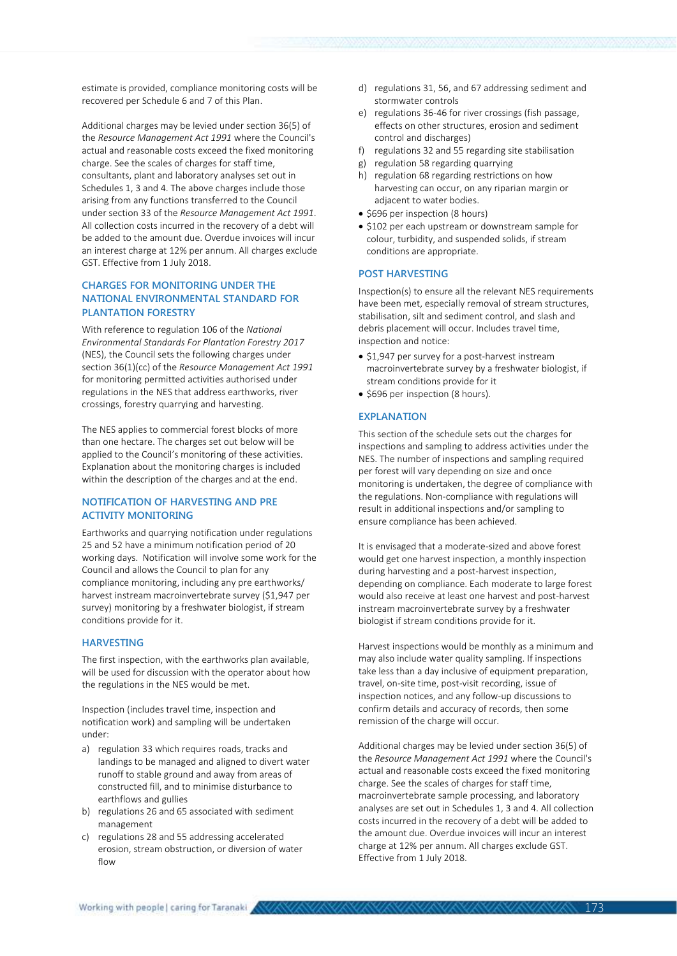estimate is provided, compliance monitoring costs will be recovered per Schedule 6 and 7 of this Plan.

Additional charges may be levied under section 36(5) of the *Resource Management Act 1991* where the Council's actual and reasonable costs exceed the fixed monitoring charge. See the scales of charges for staff time, consultants, plant and laboratory analyses set out in Schedules 1, 3 and 4. The above charges include those arising from any functions transferred to the Council under section 33 of the *Resource Management Act 1991*. All collection costs incurred in the recovery of a debt will be added to the amount due. Overdue invoices will incur an interest charge at 12% per annum. All charges exclude GST. Effective from 1 July 2018.

## **CHARGES FOR MONITORING UNDER THE NATIONAL ENVIRONMENTAL STANDARD FOR PLANTATION FORESTRY**

With reference to regulation 106 of the *National Environmental Standards For Plantation Forestry 2017* (NES), the Council sets the following charges under section 36(1)(cc) of the *Resource Management Act 1991* for monitoring permitted activities authorised under regulations in the NES that address earthworks, river crossings, forestry quarrying and harvesting.

The NES applies to commercial forest blocks of more than one hectare. The charges set out below will be applied to the Council's monitoring of these activities. Explanation about the monitoring charges is included within the description of the charges and at the end.

### **NOTIFICATION OF HARVESTING AND PRE ACTIVITY MONITORING**

Earthworks and quarrying notification under regulations 25 and 52 have a minimum notification period of 20 working days. Notification will involve some work for the Council and allows the Council to plan for any compliance monitoring, including any pre earthworks/ harvest instream macroinvertebrate survey (\$1,947 per survey) monitoring by a freshwater biologist, if stream conditions provide for it.

## **HARVESTING**

The first inspection, with the earthworks plan available, will be used for discussion with the operator about how the regulations in the NES would be met.

Inspection (includes travel time, inspection and notification work) and sampling will be undertaken under:

- a) regulation 33 which requires roads, tracks and landings to be managed and aligned to divert water runoff to stable ground and away from areas of constructed fill, and to minimise disturbance to earthflows and gullies
- b) regulations 26 and 65 associated with sediment management
- c) regulations 28 and 55 addressing accelerated erosion, stream obstruction, or diversion of water flow
- d) regulations 31, 56, and 67 addressing sediment and stormwater controls
- e) regulations 36-46 for river crossings (fish passage, effects on other structures, erosion and sediment control and discharges)
- f) regulations 32 and 55 regarding site stabilisation
- g) regulation 58 regarding quarrying
- h) regulation 68 regarding restrictions on how harvesting can occur, on any riparian margin or adjacent to water bodies.
- \$696 per inspection (8 hours)
- \$102 per each upstream or downstream sample for colour, turbidity, and suspended solids, if stream conditions are appropriate.

#### **POST HARVESTING**

Inspection(s) to ensure all the relevant NES requirements have been met, especially removal of stream structures, stabilisation, silt and sediment control, and slash and debris placement will occur. Includes travel time, inspection and notice:

- \$1,947 per survey for a post-harvest instream macroinvertebrate survey by a freshwater biologist, if stream conditions provide for it
- \$696 per inspection (8 hours).

#### **EXPLANATION**

This section of the schedule sets out the charges for inspections and sampling to address activities under the NES. The number of inspections and sampling required per forest will vary depending on size and once monitoring is undertaken, the degree of compliance with the regulations. Non-compliance with regulations will result in additional inspections and/or sampling to ensure compliance has been achieved.

It is envisaged that a moderate-sized and above forest would get one harvest inspection, a monthly inspection during harvesting and a post-harvest inspection, depending on compliance. Each moderate to large forest would also receive at least one harvest and post-harvest instream macroinvertebrate survey by a freshwater biologist if stream conditions provide for it.

Harvest inspections would be monthly as a minimum and may also include water quality sampling. If inspections take less than a day inclusive of equipment preparation, travel, on-site time, post-visit recording, issue of inspection notices, and any follow-up discussions to confirm details and accuracy of records, then some remission of the charge will occur.

Additional charges may be levied under section 36(5) of the *Resource Management Act 1991* where the Council's actual and reasonable costs exceed the fixed monitoring charge. See the scales of charges for staff time, macroinvertebrate sample processing, and laboratory analyses are set out in Schedules 1, 3 and 4. All collection costs incurred in the recovery of a debt will be added to the amount due. Overdue invoices will incur an interest charge at 12% per annum. All charges exclude GST. Effective from 1 July 2018.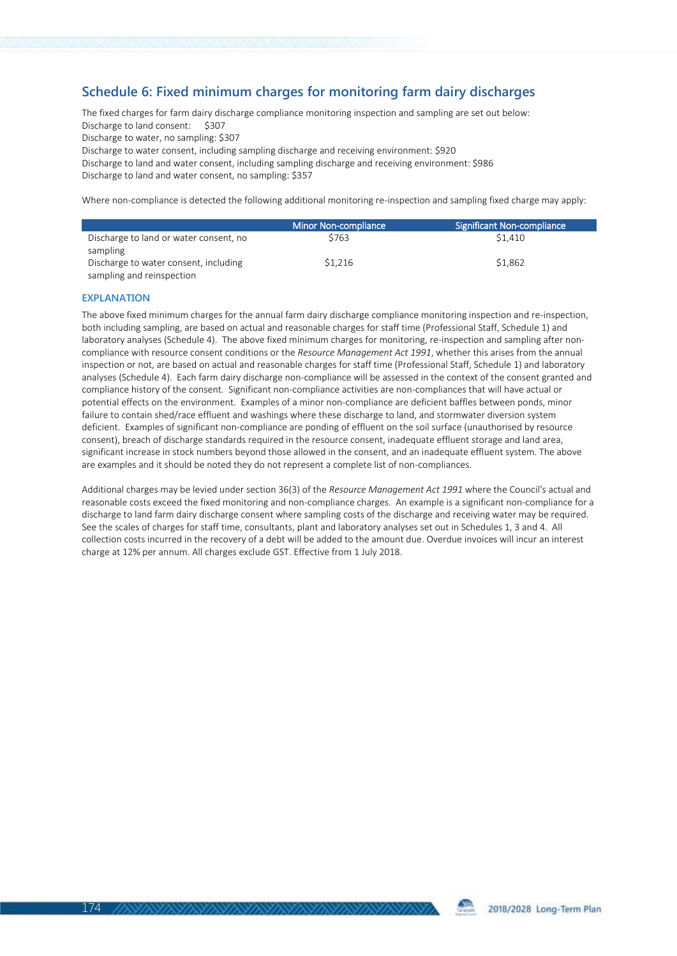## **Schedule 6: Fixed minimum charges for monitoring farm dairy discharges**

The fixed charges for farm dairy discharge compliance monitoring inspection and sampling are set out below: Discharge to land consent: \$307 Discharge to water, no sampling: \$307 Discharge to water consent, including sampling discharge and receiving environment: \$920 Discharge to land and water consent, including sampling discharge and receiving environment: \$986 Discharge to land and water consent, no sampling: \$357

Where non-compliance is detected the following additional monitoring re-inspection and sampling fixed charge may apply:

|                                        | Minor Non-compliance | Significant Non-compliance |
|----------------------------------------|----------------------|----------------------------|
| Discharge to land or water consent, no | \$763                | \$1,410                    |
| sampling                               |                      |                            |
| Discharge to water consent, including  | \$1.216              | \$1.862                    |
| sampling and reinspection              |                      |                            |

#### **EXPLANATION**

The above fixed minimum charges for the annual farm dairy discharge compliance monitoring inspection and re-inspection, both including sampling, are based on actual and reasonable charges for staff time (Professional Staff, Schedule 1) and laboratory analyses (Schedule 4). The above fixed minimum charges for monitoring, re-inspection and sampling after noncompliance with resource consent conditions or the *Resource Management Act 1991*, whether this arises from the annual inspection or not, are based on actual and reasonable charges for staff time (Professional Staff, Schedule 1) and laboratory analyses (Schedule 4). Each farm dairy discharge non-compliance will be assessed in the context of the consent granted and compliance history of the consent. Significant non-compliance activities are non-compliances that will have actual or potential effects on the environment. Examples of a minor non-compliance are deficient baffles between ponds, minor failure to contain shed/race effluent and washings where these discharge to land, and stormwater diversion system deficient. Examples of significant non-compliance are ponding of effluent on the soil surface (unauthorised by resource consent), breach of discharge standards required in the resource consent, inadequate effluent storage and land area, significant increase in stock numbers beyond those allowed in the consent, and an inadequate effluent system. The above are examples and it should be noted they do not represent a complete list of non-compliances.

Additional charges may be levied under section 36(3) of the *Resource Management Act 1991* where the Council's actual and reasonable costs exceed the fixed monitoring and non-compliance charges. An example is a significant non-compliance for a discharge to land farm dairy discharge consent where sampling costs of the discharge and receiving water may be required. See the scales of charges for staff time, consultants, plant and laboratory analyses set out in Schedules 1, 3 and 4. All collection costs incurred in the recovery of a debt will be added to the amount due. Overdue invoices will incur an interest charge at 12% per annum. All charges exclude GST. Effective from 1 July 2018.

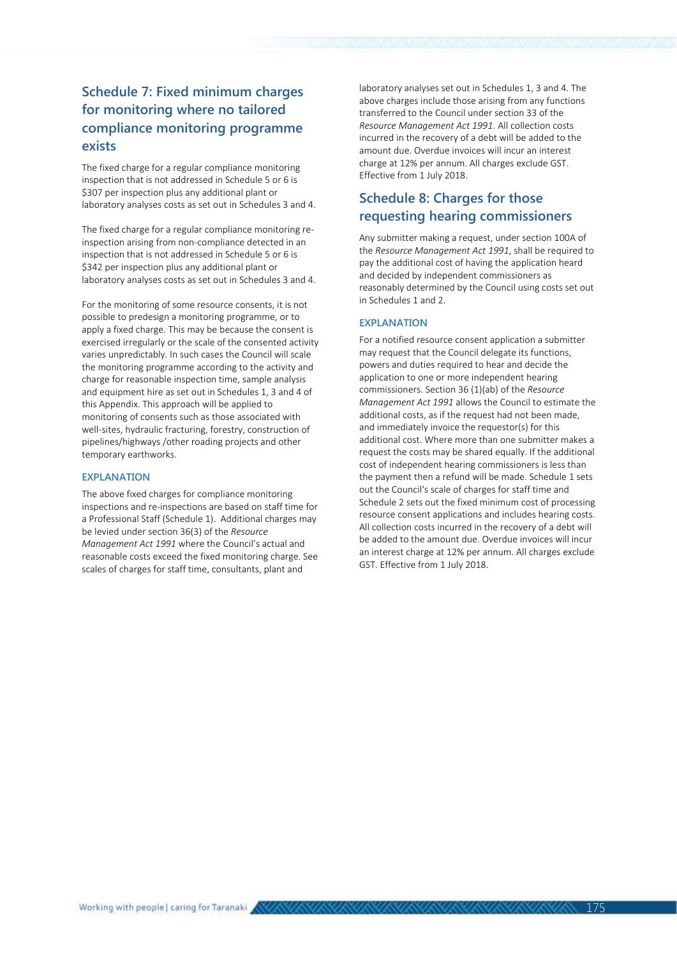## **Schedule 7: Fixed minimum charges for monitoring where no tailored compliance monitoring programme exists**

The fixed charge for a regular compliance monitoring inspection that is not addressed in Schedule 5 or 6 is \$307 per inspection plus any additional plant or laboratory analyses costs as set out in Schedules 3 and 4.

The fixed charge for a regular compliance monitoring reinspection arising from non-compliance detected in an inspection that is not addressed in Schedule 5 or 6 is \$342 per inspection plus any additional plant or laboratory analyses costs as set out in Schedules 3 and 4.

For the monitoring of some resource consents, it is not possible to predesign a monitoring programme, or to apply a fixed charge. This may be because the consent is exercised irregularly or the scale of the consented activity varies unpredictably. In such cases the Council will scale the monitoring programme according to the activity and charge for reasonable inspection time, sample analysis and equipment hire as set out in Schedules 1, 3 and 4 of this Appendix. This approach will be applied to monitoring of consents such as those associated with well-sites, hydraulic fracturing, forestry, construction of pipelines/highways /other roading projects and other temporary earthworks.

#### **EXPLANATION**

The above fixed charges for compliance monitoring inspections and re-inspections are based on staff time for a Professional Staff (Schedule 1). Additional charges may be levied under section 36(3) of the *Resource Management Act 1991* where the Council's actual and reasonable costs exceed the fixed monitoring charge. See scales of charges for staff time, consultants, plant and

laboratory analyses set out in Schedules 1, 3 and 4. The above charges include those arising from any functions transferred to the Council under section 33 of the *Resource Management Act 1991*. All collection costs incurred in the recovery of a debt will be added to the amount due. Overdue invoices will incur an interest charge at 12% per annum. All charges exclude GST. Effective from 1 July 2018.

## **Schedule 8: Charges for those requesting hearing commissioners**

Any submitter making a request, under section 100A of the *Resource Management Act 1991*, shall be required to pay the additional cost of having the application heard and decided by independent commissioners as reasonably determined by the Council using costs set out in Schedules 1 and 2.

#### **EXPLANATION**

For a notified resource consent application a submitter may request that the Council delegate its functions, powers and duties required to hear and decide the application to one or more independent hearing commissioners. Section 36 (1)(ab) of the *Resource Management Act 1991* allows the Council to estimate the additional costs, as if the request had not been made, and immediately invoice the requestor(s) for this additional cost. Where more than one submitter makes a request the costs may be shared equally. If the additional cost of independent hearing commissioners is less than the payment then a refund will be made. Schedule 1 sets out the Council's scale of charges for staff time and Schedule 2 sets out the fixed minimum cost of processing resource consent applications and includes hearing costs. All collection costs incurred in the recovery of a debt will be added to the amount due. Overdue invoices will incur an interest charge at 12% per annum. All charges exclude GST. Effective from 1 July 2018.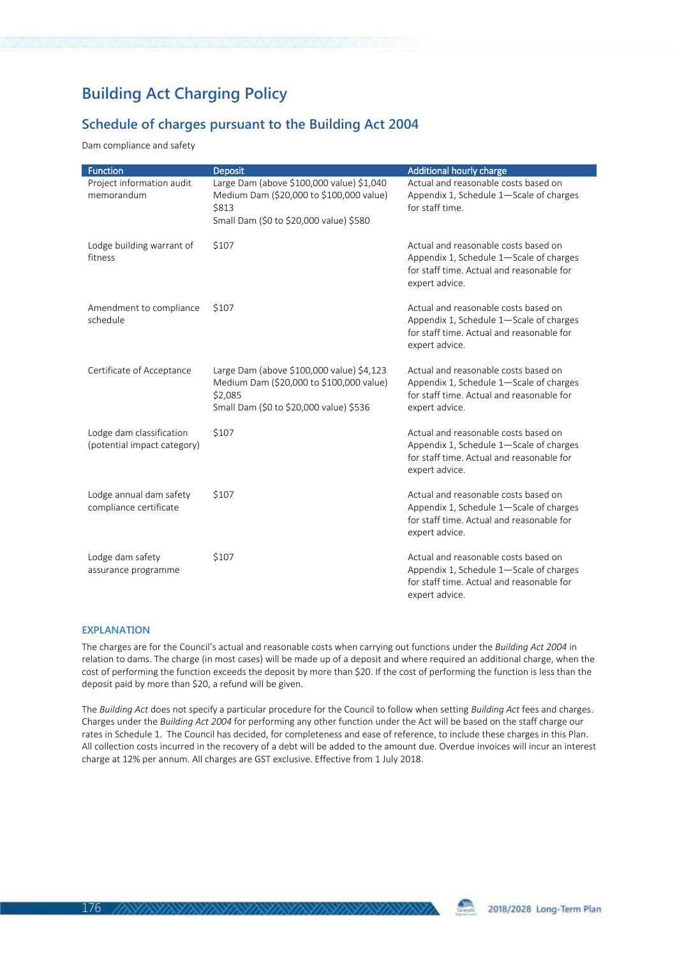# **Building Act Charging Policy**

## **Schedule of charges pursuant to the Building Act 2004**

Dam compliance and safety

| <b>Function</b>                                         | <b>Deposit</b>                                                                                                                              | Additional hourly charge                                                                                                                       |
|---------------------------------------------------------|---------------------------------------------------------------------------------------------------------------------------------------------|------------------------------------------------------------------------------------------------------------------------------------------------|
| Project information audit<br>memorandum                 | Large Dam (above \$100,000 value) \$1,040<br>Medium Dam (\$20,000 to \$100,000 value)<br>\$813<br>Small Dam (\$0 to \$20,000 value) \$580   | Actual and reasonable costs based on<br>Appendix 1, Schedule 1-Scale of charges<br>for staff time.                                             |
| Lodge building warrant of<br>fitness                    | \$107                                                                                                                                       | Actual and reasonable costs based on<br>Appendix 1, Schedule 1-Scale of charges<br>for staff time. Actual and reasonable for<br>expert advice. |
| Amendment to compliance<br>schedule                     | \$107                                                                                                                                       | Actual and reasonable costs based on<br>Appendix 1, Schedule 1-Scale of charges<br>for staff time. Actual and reasonable for<br>expert advice. |
| Certificate of Acceptance                               | Large Dam (above \$100,000 value) \$4,123<br>Medium Dam (\$20,000 to \$100,000 value)<br>\$2,085<br>Small Dam (\$0 to \$20,000 value) \$536 | Actual and reasonable costs based on<br>Appendix 1, Schedule 1-Scale of charges<br>for staff time. Actual and reasonable for<br>expert advice. |
| Lodge dam classification<br>(potential impact category) | \$107                                                                                                                                       | Actual and reasonable costs based on<br>Appendix 1, Schedule 1-Scale of charges<br>for staff time. Actual and reasonable for<br>expert advice. |
| Lodge annual dam safety<br>compliance certificate       | \$107                                                                                                                                       | Actual and reasonable costs based on<br>Appendix 1, Schedule 1-Scale of charges<br>for staff time. Actual and reasonable for<br>expert advice. |
| Lodge dam safety<br>assurance programme                 | \$107                                                                                                                                       | Actual and reasonable costs based on<br>Appendix 1, Schedule 1-Scale of charges<br>for staff time. Actual and reasonable for<br>expert advice. |

### **EXPLANATION**

The charges are for the Council's actual and reasonable costs when carrying out functions under the *Building Act 2004* in relation to dams. The charge (in most cases) will be made up of a deposit and where required an additional charge, when the cost of performing the function exceeds the deposit by more than \$20. If the cost of performing the function is less than the deposit paid by more than \$20, a refund will be given.

The *Building Act* does not specify a particular procedure for the Council to follow when setting *Building Act* fees and charges. Charges under the *Building Act 2004* for performing any other function under the Act will be based on the staff charge our rates in Schedule 1. The Council has decided, for completeness and ease of reference, to include these charges in this Plan. All collection costs incurred in the recovery of a debt will be added to the amount due. Overdue invoices will incur an interest charge at 12% per annum. All charges are GST exclusive. Effective from 1 July 2018.

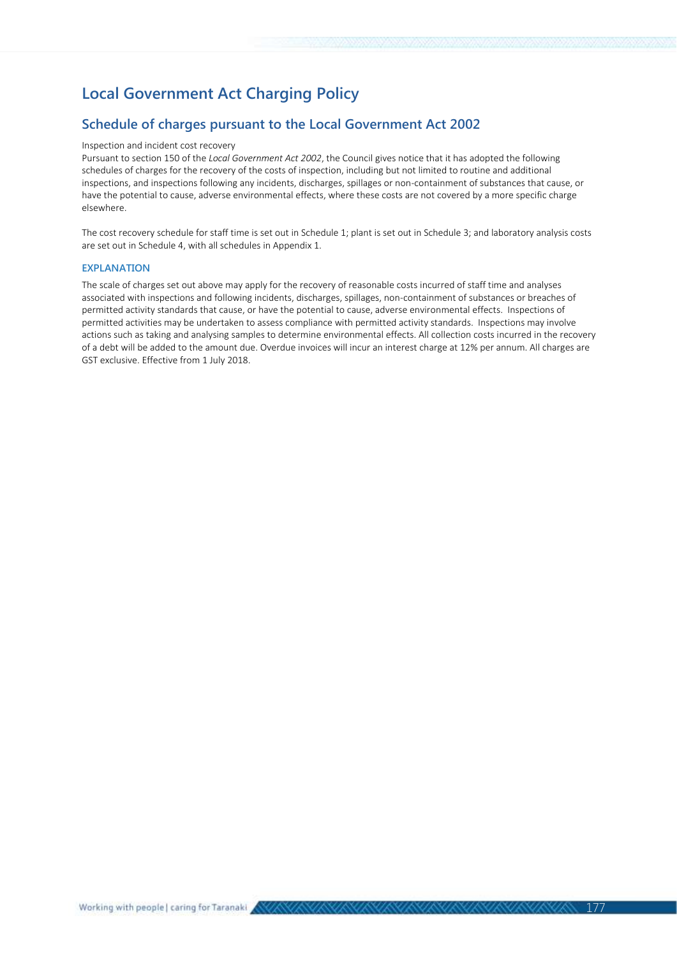# **Local Government Act Charging Policy**

## **Schedule of charges pursuant to the Local Government Act 2002**

#### Inspection and incident cost recovery

Pursuant to section 150 of the *Local Government Act 2002*, the Council gives notice that it has adopted the following schedules of charges for the recovery of the costs of inspection, including but not limited to routine and additional inspections, and inspections following any incidents, discharges, spillages or non-containment of substances that cause, or have the potential to cause, adverse environmental effects, where these costs are not covered by a more specific charge elsewhere.

The cost recovery schedule for staff time is set out in Schedule 1; plant is set out in Schedule 3; and laboratory analysis costs are set out in Schedule 4, with all schedules in Appendix 1.

#### **EXPLANATION**

The scale of charges set out above may apply for the recovery of reasonable costs incurred of staff time and analyses associated with inspections and following incidents, discharges, spillages, non-containment of substances or breaches of permitted activity standards that cause, or have the potential to cause, adverse environmental effects. Inspections of permitted activities may be undertaken to assess compliance with permitted activity standards. Inspections may involve actions such as taking and analysing samples to determine environmental effects. All collection costs incurred in the recovery of a debt will be added to the amount due. Overdue invoices will incur an interest charge at 12% per annum. All charges are GST exclusive. Effective from 1 July 2018.